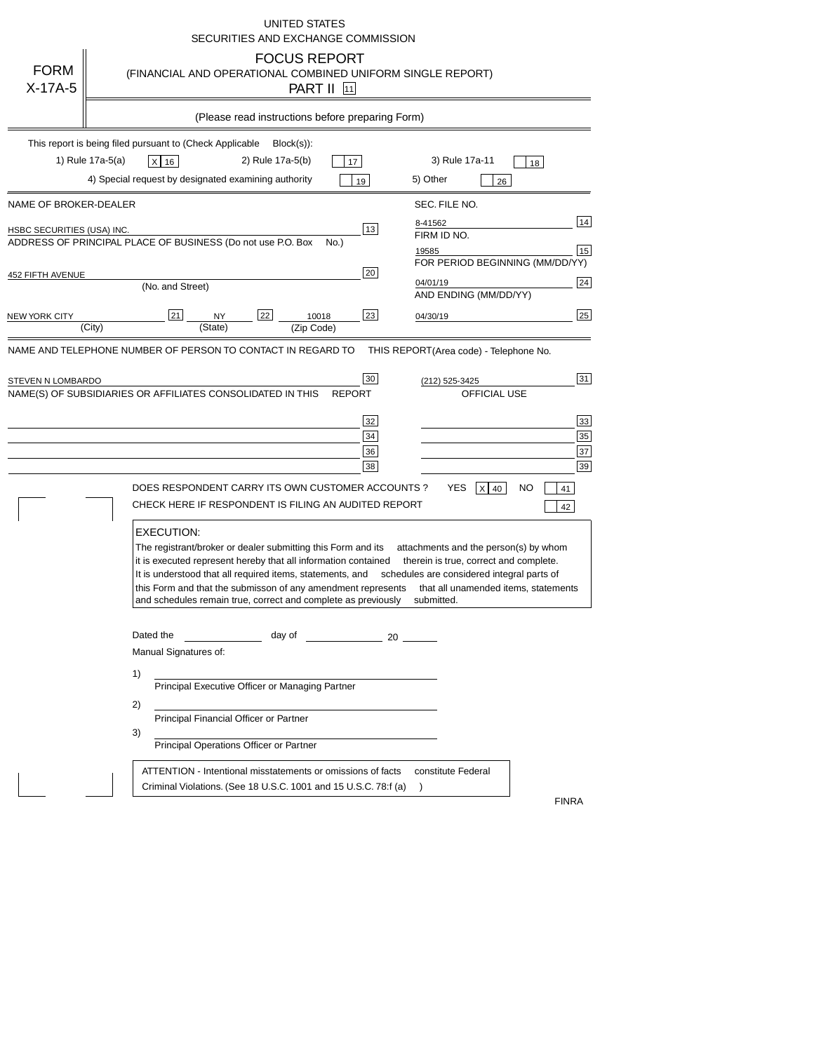|                                                     | <b>UNITED STATES</b><br>SECURITIES AND EXCHANGE COMMISSION                                                                                                                                                                                                                                                                                                                                                                                                                                                                               |
|-----------------------------------------------------|------------------------------------------------------------------------------------------------------------------------------------------------------------------------------------------------------------------------------------------------------------------------------------------------------------------------------------------------------------------------------------------------------------------------------------------------------------------------------------------------------------------------------------------|
| <b>FORM</b><br>X-17A-5                              | <b>FOCUS REPORT</b><br>(FINANCIAL AND OPERATIONAL COMBINED UNIFORM SINGLE REPORT)<br>PART II [11]                                                                                                                                                                                                                                                                                                                                                                                                                                        |
|                                                     | (Please read instructions before preparing Form)                                                                                                                                                                                                                                                                                                                                                                                                                                                                                         |
|                                                     | This report is being filed pursuant to (Check Applicable<br>$Block(s)$ :<br>1) Rule 17a-5(a)<br>2) Rule 17a-5(b)<br>3) Rule 17a-11<br>$x$ 16<br>17<br>18<br>4) Special request by designated examining authority<br>5) Other<br>19<br>26                                                                                                                                                                                                                                                                                                 |
| NAME OF BROKER-DEALER<br>HSBC SECURITIES (USA) INC. | SEC. FILE NO.<br>14<br>8-41562<br>13<br>FIRM ID NO.<br>ADDRESS OF PRINCIPAL PLACE OF BUSINESS (Do not use P.O. Box<br>No.)<br>15<br>19585<br>FOR PERIOD BEGINNING (MM/DD/YY)                                                                                                                                                                                                                                                                                                                                                             |
| 452 FIFTH AVENUE<br>NEW YORK CITY                   | 20<br>24<br>04/01/19<br>(No. and Street)<br>AND ENDING (MM/DD/YY)<br>25<br>21<br>22<br>23<br>10018<br><b>NY</b><br>04/30/19<br>(City)<br>(State)<br>(Zip Code)                                                                                                                                                                                                                                                                                                                                                                           |
| STEVEN N LOMBARDO                                   | 31<br>30<br>(212) 525-3425<br>NAME(S) OF SUBSIDIARIES OR AFFILIATES CONSOLIDATED IN THIS<br><b>OFFICIAL USE</b><br><b>REPORT</b><br>33<br>32<br>35<br>34<br>37<br>36<br>39<br>38<br>DOES RESPONDENT CARRY ITS OWN CUSTOMER ACCOUNTS ?<br>YES<br>$X$ 40<br>NO<br>41<br>CHECK HERE IF RESPONDENT IS FILING AN AUDITED REPORT<br>42                                                                                                                                                                                                         |
|                                                     | <b>EXECUTION:</b><br>The registrant/broker or dealer submitting this Form and its<br>attachments and the person(s) by whom<br>it is executed represent hereby that all information contained<br>therein is true, correct and complete.<br>It is understood that all required items, statements, and<br>schedules are considered integral parts of<br>this Form and that the submisson of any amendment represents<br>that all unamended items, statements<br>and schedules remain true, correct and complete as previously<br>submitted. |
|                                                     | Dated the<br>day of<br>$\sim$ 20<br>Manual Signatures of:<br>1)<br>Principal Executive Officer or Managing Partner<br>2)<br>Principal Financial Officer or Partner<br>3)<br>Principal Operations Officer or Partner                                                                                                                                                                                                                                                                                                                      |
|                                                     | ATTENTION - Intentional misstatements or omissions of facts<br>constitute Federal<br>Criminal Violations. (See 18 U.S.C. 1001 and 15 U.S.C. 78.f (a)<br><b>FINRA</b>                                                                                                                                                                                                                                                                                                                                                                     |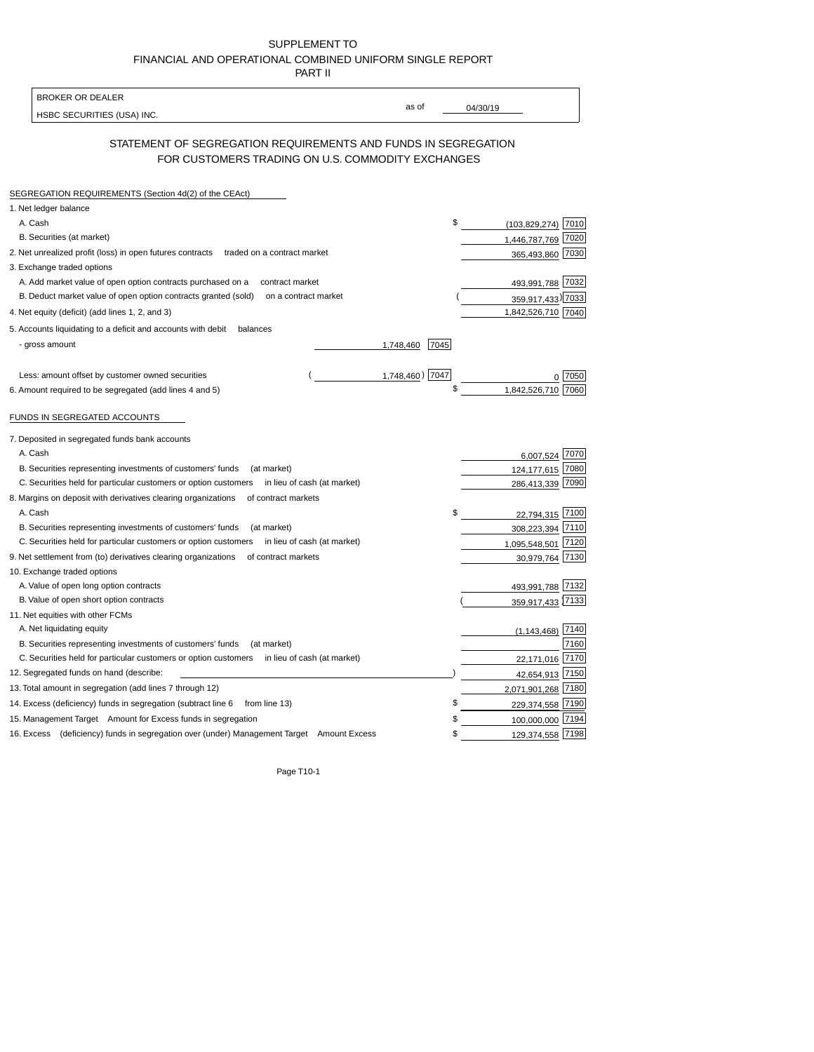| SUPPLEMENT TO                                            |
|----------------------------------------------------------|
| FINANCIAL AND OPERATIONAL COMBINED UNIFORM SINGLE REPORT |
| <b>PART II</b>                                           |

| as of<br>04/30/19<br>HSBC SECURITIES (USA) INC.<br>STATEMENT OF SEGREGATION REQUIREMENTS AND FUNDS IN SEGREGATION<br>FOR CUSTOMERS TRADING ON U.S. COMMODITY EXCHANGES<br>SEGREGATION REQUIREMENTS (Section 4d(2) of the CEAct)<br>1. Net ledger balance<br>\$<br>A. Cash<br>B. Securities (at market)<br>1,446,787,769<br>2. Net unrealized profit (loss) in open futures contracts<br>traded on a contract market<br>3. Exchange traded options<br>A. Add market value of open option contracts purchased on a<br>contract market<br>493,991,788<br>B. Deduct market value of open option contracts granted (sold)<br>on a contract market<br>359,917,433) 7033<br>4. Net equity (deficit) (add lines 1, 2, and 3)<br>5. Accounts liquidating to a deficit and accounts with debit<br>balances<br>- gross amount<br>7045<br>1,748,460<br>1,748,460) 7047<br>Less: amount offset by customer owned securities<br>\$<br>1,842,526,710<br>6. Amount required to be segregated (add lines 4 and 5)<br>FUNDS IN SEGREGATED ACCOUNTS<br>7. Deposited in segregated funds bank accounts<br>A. Cash<br>6,007,524 7070<br>B. Securities representing investments of customers' funds<br>(at market)<br>124, 177, 615<br>C. Securities held for particular customers or option customers<br>in lieu of cash (at market)<br>286,413,339<br>8. Margins on deposit with derivatives clearing organizations<br>of contract markets<br>A. Cash<br>\$<br>22,794,315 7100<br>B. Securities representing investments of customers' funds<br>(at market)<br>308,223,394<br>C. Securities held for particular customers or option customers<br>in lieu of cash (at market)<br>1,095,548,501<br>9. Net settlement from (to) derivatives clearing organizations<br>of contract markets<br>30,979,764<br>10. Exchange traded options<br>493,991,788 7132<br>A. Value of open long option contracts<br>359,917,433 7133<br>B. Value of open short option contracts<br>11. Net equities with other FCMs<br>A. Net liquidating equity<br>(1, 143, 468)<br>B. Securities representing investments of customers' funds<br>(at market)<br>C. Securities held for particular customers or option customers<br>in lieu of cash (at market)<br>22,171,016<br>12. Segregated funds on hand (describe:<br>42,654,913 7150<br>13. Total amount in segregation (add lines 7 through 12)<br>2,071,901,268 7180 | <b>BROKER OR DEALER</b> |                      |
|-----------------------------------------------------------------------------------------------------------------------------------------------------------------------------------------------------------------------------------------------------------------------------------------------------------------------------------------------------------------------------------------------------------------------------------------------------------------------------------------------------------------------------------------------------------------------------------------------------------------------------------------------------------------------------------------------------------------------------------------------------------------------------------------------------------------------------------------------------------------------------------------------------------------------------------------------------------------------------------------------------------------------------------------------------------------------------------------------------------------------------------------------------------------------------------------------------------------------------------------------------------------------------------------------------------------------------------------------------------------------------------------------------------------------------------------------------------------------------------------------------------------------------------------------------------------------------------------------------------------------------------------------------------------------------------------------------------------------------------------------------------------------------------------------------------------------------------------------------------------------------------------------------------------------------------------------------------------------------------------------------------------------------------------------------------------------------------------------------------------------------------------------------------------------------------------------------------------------------------------------------------------------------------------------------------------------------------------------------------------------------|-------------------------|----------------------|
|                                                                                                                                                                                                                                                                                                                                                                                                                                                                                                                                                                                                                                                                                                                                                                                                                                                                                                                                                                                                                                                                                                                                                                                                                                                                                                                                                                                                                                                                                                                                                                                                                                                                                                                                                                                                                                                                                                                                                                                                                                                                                                                                                                                                                                                                                                                                                                             |                         |                      |
|                                                                                                                                                                                                                                                                                                                                                                                                                                                                                                                                                                                                                                                                                                                                                                                                                                                                                                                                                                                                                                                                                                                                                                                                                                                                                                                                                                                                                                                                                                                                                                                                                                                                                                                                                                                                                                                                                                                                                                                                                                                                                                                                                                                                                                                                                                                                                                             |                         |                      |
|                                                                                                                                                                                                                                                                                                                                                                                                                                                                                                                                                                                                                                                                                                                                                                                                                                                                                                                                                                                                                                                                                                                                                                                                                                                                                                                                                                                                                                                                                                                                                                                                                                                                                                                                                                                                                                                                                                                                                                                                                                                                                                                                                                                                                                                                                                                                                                             |                         |                      |
|                                                                                                                                                                                                                                                                                                                                                                                                                                                                                                                                                                                                                                                                                                                                                                                                                                                                                                                                                                                                                                                                                                                                                                                                                                                                                                                                                                                                                                                                                                                                                                                                                                                                                                                                                                                                                                                                                                                                                                                                                                                                                                                                                                                                                                                                                                                                                                             |                         |                      |
|                                                                                                                                                                                                                                                                                                                                                                                                                                                                                                                                                                                                                                                                                                                                                                                                                                                                                                                                                                                                                                                                                                                                                                                                                                                                                                                                                                                                                                                                                                                                                                                                                                                                                                                                                                                                                                                                                                                                                                                                                                                                                                                                                                                                                                                                                                                                                                             |                         |                      |
|                                                                                                                                                                                                                                                                                                                                                                                                                                                                                                                                                                                                                                                                                                                                                                                                                                                                                                                                                                                                                                                                                                                                                                                                                                                                                                                                                                                                                                                                                                                                                                                                                                                                                                                                                                                                                                                                                                                                                                                                                                                                                                                                                                                                                                                                                                                                                                             |                         | $(103,829,274)$ 7010 |
|                                                                                                                                                                                                                                                                                                                                                                                                                                                                                                                                                                                                                                                                                                                                                                                                                                                                                                                                                                                                                                                                                                                                                                                                                                                                                                                                                                                                                                                                                                                                                                                                                                                                                                                                                                                                                                                                                                                                                                                                                                                                                                                                                                                                                                                                                                                                                                             |                         | 7020                 |
|                                                                                                                                                                                                                                                                                                                                                                                                                                                                                                                                                                                                                                                                                                                                                                                                                                                                                                                                                                                                                                                                                                                                                                                                                                                                                                                                                                                                                                                                                                                                                                                                                                                                                                                                                                                                                                                                                                                                                                                                                                                                                                                                                                                                                                                                                                                                                                             |                         | 365,493,860 7030     |
|                                                                                                                                                                                                                                                                                                                                                                                                                                                                                                                                                                                                                                                                                                                                                                                                                                                                                                                                                                                                                                                                                                                                                                                                                                                                                                                                                                                                                                                                                                                                                                                                                                                                                                                                                                                                                                                                                                                                                                                                                                                                                                                                                                                                                                                                                                                                                                             |                         |                      |
|                                                                                                                                                                                                                                                                                                                                                                                                                                                                                                                                                                                                                                                                                                                                                                                                                                                                                                                                                                                                                                                                                                                                                                                                                                                                                                                                                                                                                                                                                                                                                                                                                                                                                                                                                                                                                                                                                                                                                                                                                                                                                                                                                                                                                                                                                                                                                                             |                         | 7032                 |
|                                                                                                                                                                                                                                                                                                                                                                                                                                                                                                                                                                                                                                                                                                                                                                                                                                                                                                                                                                                                                                                                                                                                                                                                                                                                                                                                                                                                                                                                                                                                                                                                                                                                                                                                                                                                                                                                                                                                                                                                                                                                                                                                                                                                                                                                                                                                                                             |                         |                      |
|                                                                                                                                                                                                                                                                                                                                                                                                                                                                                                                                                                                                                                                                                                                                                                                                                                                                                                                                                                                                                                                                                                                                                                                                                                                                                                                                                                                                                                                                                                                                                                                                                                                                                                                                                                                                                                                                                                                                                                                                                                                                                                                                                                                                                                                                                                                                                                             |                         | 1,842,526,710 7040   |
|                                                                                                                                                                                                                                                                                                                                                                                                                                                                                                                                                                                                                                                                                                                                                                                                                                                                                                                                                                                                                                                                                                                                                                                                                                                                                                                                                                                                                                                                                                                                                                                                                                                                                                                                                                                                                                                                                                                                                                                                                                                                                                                                                                                                                                                                                                                                                                             |                         |                      |
|                                                                                                                                                                                                                                                                                                                                                                                                                                                                                                                                                                                                                                                                                                                                                                                                                                                                                                                                                                                                                                                                                                                                                                                                                                                                                                                                                                                                                                                                                                                                                                                                                                                                                                                                                                                                                                                                                                                                                                                                                                                                                                                                                                                                                                                                                                                                                                             |                         |                      |
|                                                                                                                                                                                                                                                                                                                                                                                                                                                                                                                                                                                                                                                                                                                                                                                                                                                                                                                                                                                                                                                                                                                                                                                                                                                                                                                                                                                                                                                                                                                                                                                                                                                                                                                                                                                                                                                                                                                                                                                                                                                                                                                                                                                                                                                                                                                                                                             |                         |                      |
|                                                                                                                                                                                                                                                                                                                                                                                                                                                                                                                                                                                                                                                                                                                                                                                                                                                                                                                                                                                                                                                                                                                                                                                                                                                                                                                                                                                                                                                                                                                                                                                                                                                                                                                                                                                                                                                                                                                                                                                                                                                                                                                                                                                                                                                                                                                                                                             |                         | 7050                 |
|                                                                                                                                                                                                                                                                                                                                                                                                                                                                                                                                                                                                                                                                                                                                                                                                                                                                                                                                                                                                                                                                                                                                                                                                                                                                                                                                                                                                                                                                                                                                                                                                                                                                                                                                                                                                                                                                                                                                                                                                                                                                                                                                                                                                                                                                                                                                                                             |                         | 7060                 |
|                                                                                                                                                                                                                                                                                                                                                                                                                                                                                                                                                                                                                                                                                                                                                                                                                                                                                                                                                                                                                                                                                                                                                                                                                                                                                                                                                                                                                                                                                                                                                                                                                                                                                                                                                                                                                                                                                                                                                                                                                                                                                                                                                                                                                                                                                                                                                                             |                         |                      |
|                                                                                                                                                                                                                                                                                                                                                                                                                                                                                                                                                                                                                                                                                                                                                                                                                                                                                                                                                                                                                                                                                                                                                                                                                                                                                                                                                                                                                                                                                                                                                                                                                                                                                                                                                                                                                                                                                                                                                                                                                                                                                                                                                                                                                                                                                                                                                                             |                         |                      |
|                                                                                                                                                                                                                                                                                                                                                                                                                                                                                                                                                                                                                                                                                                                                                                                                                                                                                                                                                                                                                                                                                                                                                                                                                                                                                                                                                                                                                                                                                                                                                                                                                                                                                                                                                                                                                                                                                                                                                                                                                                                                                                                                                                                                                                                                                                                                                                             |                         |                      |
|                                                                                                                                                                                                                                                                                                                                                                                                                                                                                                                                                                                                                                                                                                                                                                                                                                                                                                                                                                                                                                                                                                                                                                                                                                                                                                                                                                                                                                                                                                                                                                                                                                                                                                                                                                                                                                                                                                                                                                                                                                                                                                                                                                                                                                                                                                                                                                             |                         | 7080                 |
|                                                                                                                                                                                                                                                                                                                                                                                                                                                                                                                                                                                                                                                                                                                                                                                                                                                                                                                                                                                                                                                                                                                                                                                                                                                                                                                                                                                                                                                                                                                                                                                                                                                                                                                                                                                                                                                                                                                                                                                                                                                                                                                                                                                                                                                                                                                                                                             |                         | 7090                 |
|                                                                                                                                                                                                                                                                                                                                                                                                                                                                                                                                                                                                                                                                                                                                                                                                                                                                                                                                                                                                                                                                                                                                                                                                                                                                                                                                                                                                                                                                                                                                                                                                                                                                                                                                                                                                                                                                                                                                                                                                                                                                                                                                                                                                                                                                                                                                                                             |                         |                      |
|                                                                                                                                                                                                                                                                                                                                                                                                                                                                                                                                                                                                                                                                                                                                                                                                                                                                                                                                                                                                                                                                                                                                                                                                                                                                                                                                                                                                                                                                                                                                                                                                                                                                                                                                                                                                                                                                                                                                                                                                                                                                                                                                                                                                                                                                                                                                                                             |                         |                      |
|                                                                                                                                                                                                                                                                                                                                                                                                                                                                                                                                                                                                                                                                                                                                                                                                                                                                                                                                                                                                                                                                                                                                                                                                                                                                                                                                                                                                                                                                                                                                                                                                                                                                                                                                                                                                                                                                                                                                                                                                                                                                                                                                                                                                                                                                                                                                                                             |                         | 7110                 |
|                                                                                                                                                                                                                                                                                                                                                                                                                                                                                                                                                                                                                                                                                                                                                                                                                                                                                                                                                                                                                                                                                                                                                                                                                                                                                                                                                                                                                                                                                                                                                                                                                                                                                                                                                                                                                                                                                                                                                                                                                                                                                                                                                                                                                                                                                                                                                                             |                         | 7120                 |
|                                                                                                                                                                                                                                                                                                                                                                                                                                                                                                                                                                                                                                                                                                                                                                                                                                                                                                                                                                                                                                                                                                                                                                                                                                                                                                                                                                                                                                                                                                                                                                                                                                                                                                                                                                                                                                                                                                                                                                                                                                                                                                                                                                                                                                                                                                                                                                             |                         | 7130                 |
|                                                                                                                                                                                                                                                                                                                                                                                                                                                                                                                                                                                                                                                                                                                                                                                                                                                                                                                                                                                                                                                                                                                                                                                                                                                                                                                                                                                                                                                                                                                                                                                                                                                                                                                                                                                                                                                                                                                                                                                                                                                                                                                                                                                                                                                                                                                                                                             |                         |                      |
|                                                                                                                                                                                                                                                                                                                                                                                                                                                                                                                                                                                                                                                                                                                                                                                                                                                                                                                                                                                                                                                                                                                                                                                                                                                                                                                                                                                                                                                                                                                                                                                                                                                                                                                                                                                                                                                                                                                                                                                                                                                                                                                                                                                                                                                                                                                                                                             |                         |                      |
|                                                                                                                                                                                                                                                                                                                                                                                                                                                                                                                                                                                                                                                                                                                                                                                                                                                                                                                                                                                                                                                                                                                                                                                                                                                                                                                                                                                                                                                                                                                                                                                                                                                                                                                                                                                                                                                                                                                                                                                                                                                                                                                                                                                                                                                                                                                                                                             |                         |                      |
|                                                                                                                                                                                                                                                                                                                                                                                                                                                                                                                                                                                                                                                                                                                                                                                                                                                                                                                                                                                                                                                                                                                                                                                                                                                                                                                                                                                                                                                                                                                                                                                                                                                                                                                                                                                                                                                                                                                                                                                                                                                                                                                                                                                                                                                                                                                                                                             |                         |                      |
|                                                                                                                                                                                                                                                                                                                                                                                                                                                                                                                                                                                                                                                                                                                                                                                                                                                                                                                                                                                                                                                                                                                                                                                                                                                                                                                                                                                                                                                                                                                                                                                                                                                                                                                                                                                                                                                                                                                                                                                                                                                                                                                                                                                                                                                                                                                                                                             |                         | 7140                 |
|                                                                                                                                                                                                                                                                                                                                                                                                                                                                                                                                                                                                                                                                                                                                                                                                                                                                                                                                                                                                                                                                                                                                                                                                                                                                                                                                                                                                                                                                                                                                                                                                                                                                                                                                                                                                                                                                                                                                                                                                                                                                                                                                                                                                                                                                                                                                                                             |                         | 7160                 |
|                                                                                                                                                                                                                                                                                                                                                                                                                                                                                                                                                                                                                                                                                                                                                                                                                                                                                                                                                                                                                                                                                                                                                                                                                                                                                                                                                                                                                                                                                                                                                                                                                                                                                                                                                                                                                                                                                                                                                                                                                                                                                                                                                                                                                                                                                                                                                                             |                         | 7170                 |
|                                                                                                                                                                                                                                                                                                                                                                                                                                                                                                                                                                                                                                                                                                                                                                                                                                                                                                                                                                                                                                                                                                                                                                                                                                                                                                                                                                                                                                                                                                                                                                                                                                                                                                                                                                                                                                                                                                                                                                                                                                                                                                                                                                                                                                                                                                                                                                             |                         |                      |
|                                                                                                                                                                                                                                                                                                                                                                                                                                                                                                                                                                                                                                                                                                                                                                                                                                                                                                                                                                                                                                                                                                                                                                                                                                                                                                                                                                                                                                                                                                                                                                                                                                                                                                                                                                                                                                                                                                                                                                                                                                                                                                                                                                                                                                                                                                                                                                             |                         |                      |
| \$<br>14. Excess (deficiency) funds in segregation (subtract line 6 from line 13)                                                                                                                                                                                                                                                                                                                                                                                                                                                                                                                                                                                                                                                                                                                                                                                                                                                                                                                                                                                                                                                                                                                                                                                                                                                                                                                                                                                                                                                                                                                                                                                                                                                                                                                                                                                                                                                                                                                                                                                                                                                                                                                                                                                                                                                                                           |                         | 229,374,558 7190     |
| 15. Management Target Amount for Excess funds in segregation                                                                                                                                                                                                                                                                                                                                                                                                                                                                                                                                                                                                                                                                                                                                                                                                                                                                                                                                                                                                                                                                                                                                                                                                                                                                                                                                                                                                                                                                                                                                                                                                                                                                                                                                                                                                                                                                                                                                                                                                                                                                                                                                                                                                                                                                                                                |                         | 100,000,000 7194     |
| 16. Excess (deficiency) funds in segregation over (under) Management Target Amount Excess<br>\$                                                                                                                                                                                                                                                                                                                                                                                                                                                                                                                                                                                                                                                                                                                                                                                                                                                                                                                                                                                                                                                                                                                                                                                                                                                                                                                                                                                                                                                                                                                                                                                                                                                                                                                                                                                                                                                                                                                                                                                                                                                                                                                                                                                                                                                                             |                         | 129,374,558 7198     |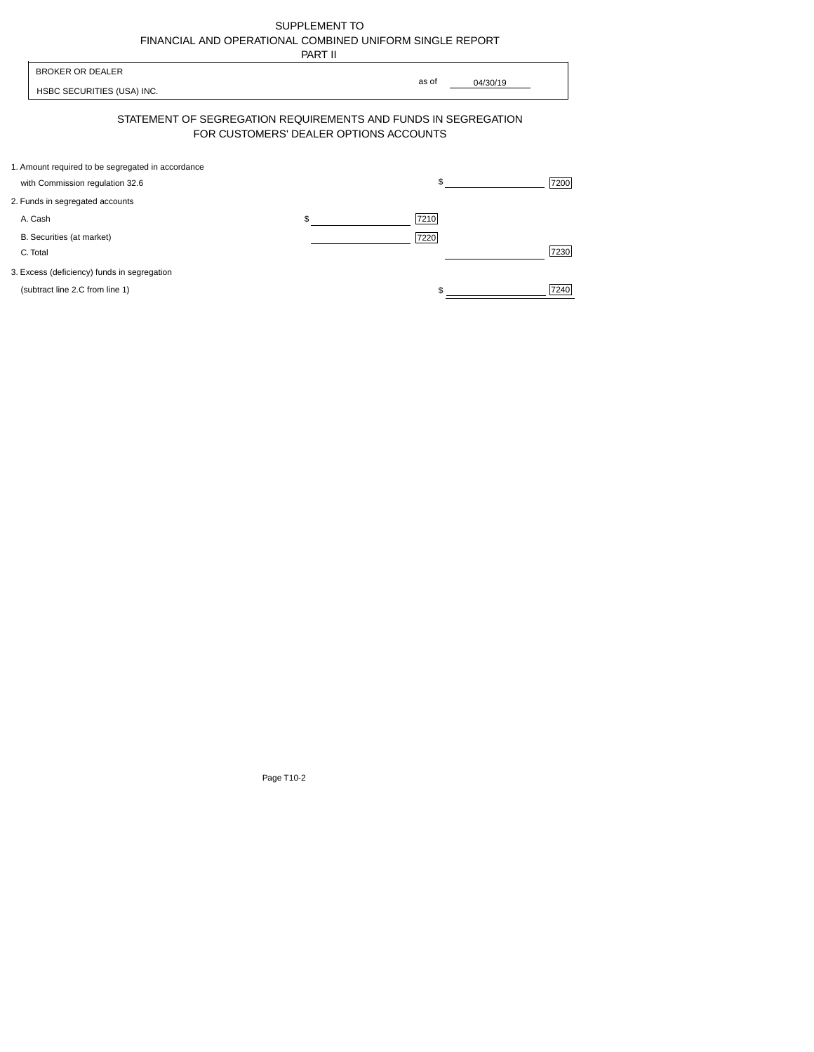| SUPPLEMENT TO                                            |
|----------------------------------------------------------|
| FINANCIAL AND OPERATIONAL COMBINED UNIFORM SINGLE REPORT |
| -----                                                    |

|                                                                                      | PART II                                |                   |      |
|--------------------------------------------------------------------------------------|----------------------------------------|-------------------|------|
| <b>BROKER OR DEALER</b><br>HSBC SECURITIES (USA) INC.                                |                                        | as of<br>04/30/19 |      |
| STATEMENT OF SEGREGATION REQUIREMENTS AND FUNDS IN SEGREGATION                       | FOR CUSTOMERS' DEALER OPTIONS ACCOUNTS |                   |      |
| 1. Amount required to be segregated in accordance<br>with Commission regulation 32.6 |                                        | \$                | 7200 |
| 2. Funds in segregated accounts                                                      |                                        |                   |      |
| A. Cash                                                                              | \$                                     | 7210              |      |
| B. Securities (at market)<br>C. Total                                                |                                        | 7220              | 7230 |
| 3. Excess (deficiency) funds in segregation                                          |                                        |                   |      |
| (subtract line 2.C from line 1)                                                      |                                        |                   | 7240 |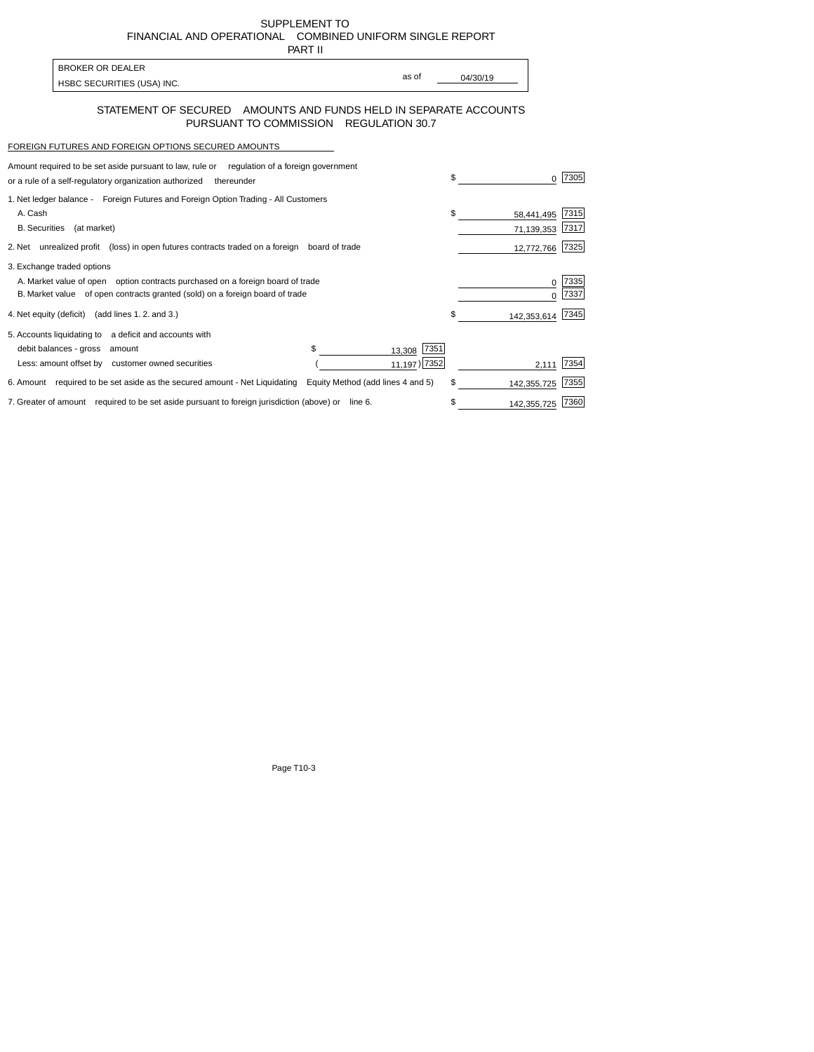SUPPLEMENT TO FINANCIALAND OPERATIONAL COMBINED UNIFORM SINGLE REPORT PART II

| BROKER OR DEALER           |       |          |
|----------------------------|-------|----------|
|                            | as of | 04/30/19 |
| HSBC SECURITIES (USA) INC. |       |          |

## STATEMENT OF SECURED AMOUNTS AND FUNDS HELD IN SEPARATE ACCOUNTS PURSUANT TO COMMISSION REGULATION 30.7

## FOREIGN FUTURES AND FOREIGN OPTIONS SECURED AMOUNTS

 $\mathsf{r}$ 

| Amount required to be set aside pursuant to law, rule or<br>regulation of a foreign government<br>or a rule of a self-regulatory organization authorized<br>thereunder                       |                                       |     |                          | 7305         |
|----------------------------------------------------------------------------------------------------------------------------------------------------------------------------------------------|---------------------------------------|-----|--------------------------|--------------|
| 1. Net ledger balance - Foreign Futures and Foreign Option Trading - All Customers<br>A. Cash<br><b>B.</b> Securities<br>(at market)                                                         |                                       | \$. | 58,441,495<br>71,139,353 | 7315<br>7317 |
| 2. Net unrealized profit (loss) in open futures contracts traded on a foreign                                                                                                                | board of trade                        |     | 12,772,766               | 7325         |
| 3. Exchange traded options<br>A. Market value of open option contracts purchased on a foreign board of trade<br>B. Market value of open contracts granted (sold) on a foreign board of trade |                                       |     | U                        | 7335<br>7337 |
| 4. Net equity (deficit) (add lines 1, 2, and 3.)                                                                                                                                             |                                       |     | 142,353,614              | 7345         |
| 5. Accounts liquidating to a deficit and accounts with<br>debit balances - gross<br>amount<br>Less: amount offset by customer owned securities                                               | \$.<br>13,308 7351<br>$11,197$ ) 7352 |     | 2.111                    | 7354         |
| 6. Amount required to be set aside as the secured amount - Net Liquidating                                                                                                                   | Equity Method (add lines 4 and 5)     | \$. | 142,355,725              | 7355         |
| 7. Greater of amount required to be set aside pursuant to foreign jurisdiction (above) or line 6.                                                                                            |                                       |     | 142,355,725              | 7360         |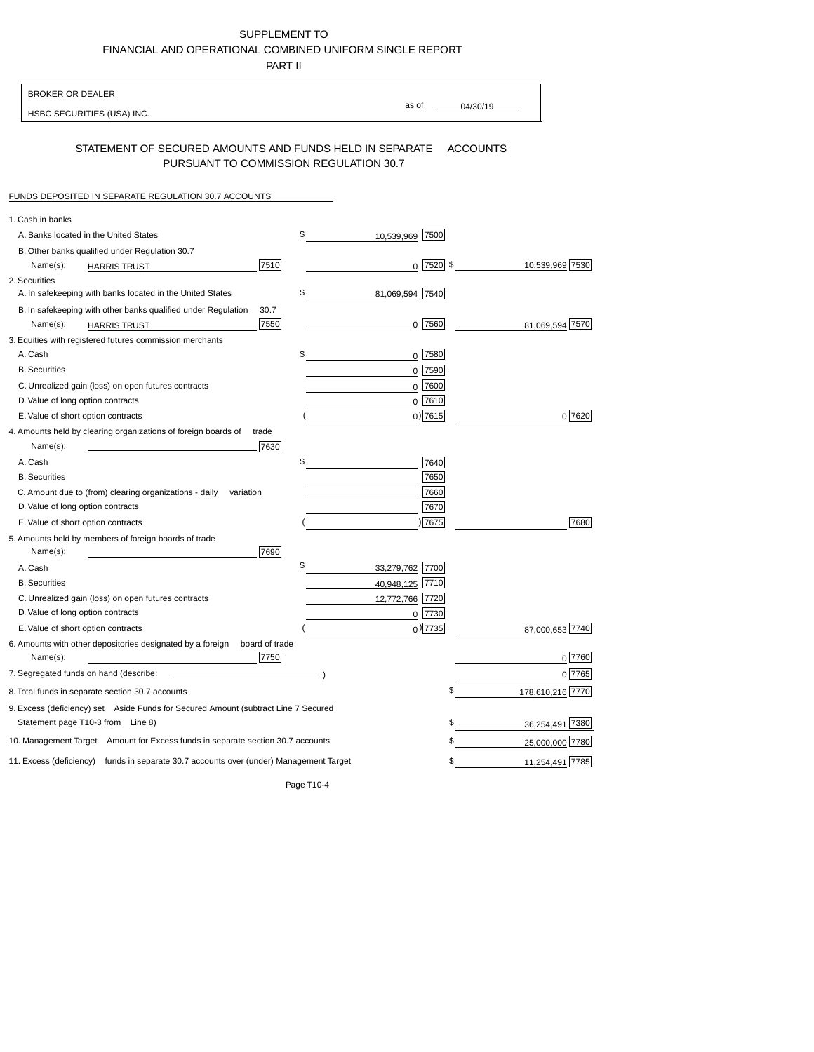## SUPPLEMENT TO FINANCIALAND OPERATIONALCOMBINED UNIFORM SINGLE REPORT

PART II

| <b>BROKER OR DEALER</b>                                                                           |                       |                 |                  |
|---------------------------------------------------------------------------------------------------|-----------------------|-----------------|------------------|
| HSBC SECURITIES (USA) INC.                                                                        | as of                 | 04/30/19        |                  |
| STATEMENT OF SECURED AMOUNTS AND FUNDS HELD IN SEPARATE<br>PURSUANT TO COMMISSION REGULATION 30.7 |                       | <b>ACCOUNTS</b> |                  |
| FUNDS DEPOSITED IN SEPARATE REGULATION 30.7 ACCOUNTS                                              |                       |                 |                  |
| 1. Cash in banks                                                                                  |                       |                 |                  |
| A. Banks located in the United States                                                             | \$<br>10.539.969      | 7500            |                  |
| B. Other banks qualified under Regulation 30.7                                                    |                       |                 |                  |
| 7510<br>Name(s):<br><b>HARRIS TRUST</b>                                                           |                       | $0$ 7520 \$     | 10,539,969 7530  |
| 2. Securities                                                                                     |                       |                 |                  |
| A. In safekeeping with banks located in the United States                                         | \$<br>81,069,594 7540 |                 |                  |
| 30.7<br>B. In safekeeping with other banks qualified under Regulation                             |                       |                 |                  |
| 7550<br>Name(s):<br><b>HARRIS TRUST</b>                                                           |                       | $0$ 7560        | 81,069,594 7570  |
| 3. Equities with registered futures commission merchants                                          |                       |                 |                  |
| A. Cash                                                                                           | \$                    | 0 7580          |                  |
| <b>B.</b> Securities                                                                              |                       | $0$ 7590        |                  |
| C. Unrealized gain (loss) on open futures contracts                                               |                       | 7600<br>0       |                  |
| D. Value of long option contracts                                                                 |                       | $0$ 7610        |                  |
| E. Value of short option contracts                                                                |                       | $0)$ 7615       | 0 7620           |
| 4. Amounts held by clearing organizations of foreign boards of<br>trade                           |                       |                 |                  |
| Name(s):<br>7630                                                                                  |                       |                 |                  |
| A. Cash                                                                                           | \$                    | 7640            |                  |
| <b>B.</b> Securities                                                                              |                       | 7650            |                  |
| C. Amount due to (from) clearing organizations - daily<br>variation                               |                       | 7660            |                  |
| D. Value of long option contracts                                                                 |                       | 7670            |                  |
| E. Value of short option contracts                                                                |                       | 7675            | 7680             |
| 5. Amounts held by members of foreign boards of trade<br>Name(s):<br>7690                         |                       |                 |                  |
| A. Cash                                                                                           | \$<br>33,279,762 7700 |                 |                  |
| <b>B.</b> Securities                                                                              | 40,948,125 7710       |                 |                  |
| C. Unrealized gain (loss) on open futures contracts                                               | 12,772,766 7720       |                 |                  |
| D. Value of long option contracts                                                                 |                       | 0 7730          |                  |
| E. Value of short option contracts                                                                |                       | $_0$ ) 7735     | 87,000,653 7740  |
| 6. Amounts with other depositories designated by a foreign<br>board of trade                      |                       |                 |                  |
| 7750<br>Name(s):                                                                                  |                       |                 | 0 7760           |
| 7. Segregated funds on hand (describe:                                                            |                       |                 | 0 7765           |
| 8. Total funds in separate section 30.7 accounts                                                  |                       | \$              | 178,610,216 7770 |
| 9. Excess (deficiency) set Aside Funds for Secured Amount (subtract Line 7 Secured                |                       |                 |                  |
| Statement page T10-3 from Line 8)                                                                 |                       | \$              | 36,254,491 7380  |
| 10. Management Target Amount for Excess funds in separate section 30.7 accounts                   |                       | \$              | 25,000,000 7780  |
| 11. Excess (deficiency) funds in separate 30.7 accounts over (under) Management Target            |                       | \$              | 11,254,491 7785  |
|                                                                                                   |                       |                 |                  |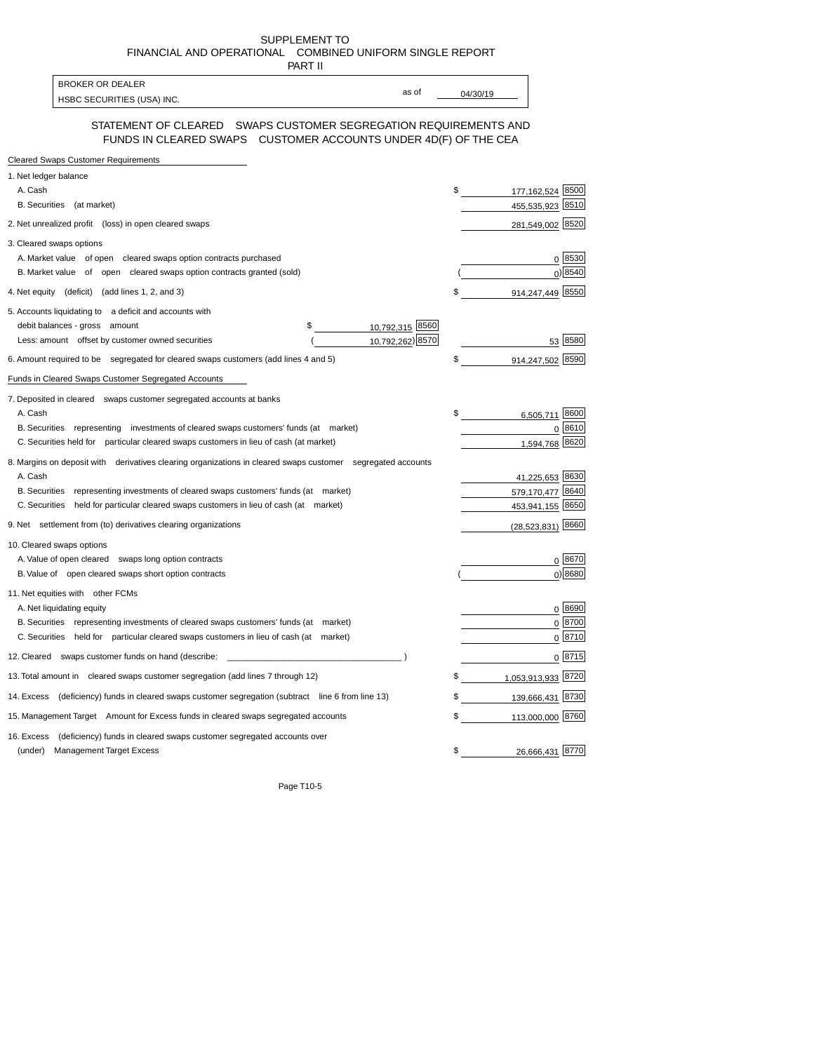SUPPLEMENT TO FINANCIALAND OPERATIONAL COMBINED UNIFORM SINGLE REPORT

| PART II                                                                                                                              |          |                    |               |
|--------------------------------------------------------------------------------------------------------------------------------------|----------|--------------------|---------------|
| <b>BROKER OR DEALER</b><br>as of                                                                                                     |          |                    |               |
| HSBC SECURITIES (USA) INC.                                                                                                           | 04/30/19 |                    |               |
| STATEMENT OF CLEARED  SWAPS CUSTOMER SEGREGATION REQUIREMENTS AND<br>FUNDS IN CLEARED SWAPS CUSTOMER ACCOUNTS UNDER 4D(F) OF THE CEA |          |                    |               |
| <b>Cleared Swaps Customer Requirements</b>                                                                                           |          |                    |               |
| 1. Net ledger balance                                                                                                                |          |                    |               |
| A. Cash                                                                                                                              | \$       | 177, 162, 524 8500 |               |
| B. Securities (at market)                                                                                                            |          | 455,535,923 8510   |               |
| 2. Net unrealized profit (loss) in open cleared swaps                                                                                |          | 281,549,002 8520   |               |
| 3. Cleared swaps options                                                                                                             |          |                    |               |
| A. Market value of open cleared swaps option contracts purchased                                                                     |          |                    | 0 8530        |
| B. Market value of open cleared swaps option contracts granted (sold)                                                                |          |                    | 0 8540        |
| 4. Net equity (deficit) (add lines 1, 2, and 3)                                                                                      | \$       | 914,247,449 8550   |               |
| 5. Accounts liquidating to a deficit and accounts with                                                                               |          |                    |               |
| 10,792,315 8560<br>debit balances - gross amount<br>\$                                                                               |          |                    |               |
| 10,792,262) 8570<br>Less: amount offset by customer owned securities                                                                 |          |                    | 53 8580       |
| 6. Amount required to be segregated for cleared swaps customers (add lines 4 and 5)                                                  | \$       | 914,247,502        | 8590          |
| Funds in Cleared Swaps Customer Segregated Accounts                                                                                  |          |                    |               |
| 7. Deposited in cleared swaps customer segregated accounts at banks                                                                  |          |                    |               |
| A. Cash                                                                                                                              |          | 6,505,711 8600     |               |
| B. Securities representing investments of cleared swaps customers' funds (at market)                                                 |          |                    | 0 8610        |
| C. Securities held for particular cleared swaps customers in lieu of cash (at market)                                                |          | 1,594,768 8620     |               |
| 8. Margins on deposit with derivatives clearing organizations in cleared swaps customer segregated accounts                          |          |                    |               |
| A. Cash                                                                                                                              |          | 41,225,653 8630    |               |
| B. Securities representing investments of cleared swaps customers' funds (at market)                                                 |          | 579,170,477 8640   |               |
| C. Securities held for particular cleared swaps customers in lieu of cash (at market)                                                |          | 453,941,155 8650   |               |
| 9. Net settlement from (to) derivatives clearing organizations                                                                       |          | (28,523,831) 8660  |               |
| 10. Cleared swaps options                                                                                                            |          |                    |               |
| A. Value of open cleared swaps long option contracts                                                                                 |          |                    | 0 8670        |
| B. Value of open cleared swaps short option contracts                                                                                |          |                    | 0 8680        |
| 11. Net equities with other FCMs                                                                                                     |          |                    |               |
| A. Net liquidating equity                                                                                                            |          |                    | 0 8690        |
| B. Securities representing investments of cleared swaps customers' funds (at market)                                                 |          |                    | $0^{8700}$    |
| C. Securities held for particular cleared swaps customers in lieu of cash (at market)                                                |          |                    | 0 8710        |
| 12. Cleared swaps customer funds on hand (describe:                                                                                  |          |                    | 0 <u>8715</u> |
| 13. Total amount in cleared swaps customer segregation (add lines 7 through 12)                                                      | \$       | 1,053,913,933 8720 |               |
| 14. Excess (deficiency) funds in cleared swaps customer segregation (subtract line 6 from line 13)                                   | \$       | 139,666,431 8730   |               |
| 15. Management Target Amount for Excess funds in cleared swaps segregated accounts                                                   | \$       | 113,000,000 8760   |               |
|                                                                                                                                      |          |                    |               |
| (deficiency) funds in cleared swaps customer segregated accounts over<br>16. Excess                                                  |          |                    |               |
| <b>Management Target Excess</b><br>(under)                                                                                           | \$       | 26,666,431 8770    |               |